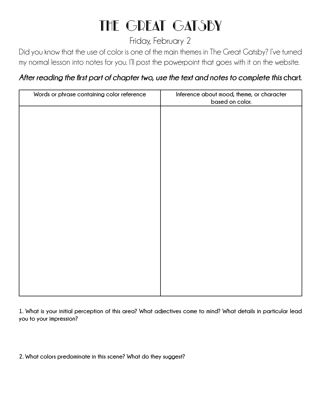# THE GREAT GATSBY

# Friday, February 2

Did you know that the use of color is one of the main themes in The Great Gatsby? I've turned my normal lesson into notes for you. I'll post the powerpoint that goes with it on the website.

# After reading the first part of chapter two, use the text and notes to complete this chart.

| Words or phrase containing color reference | Inference about mood, theme, or character<br>based on color. |
|--------------------------------------------|--------------------------------------------------------------|
|                                            |                                                              |
|                                            |                                                              |
|                                            |                                                              |
|                                            |                                                              |
|                                            |                                                              |
|                                            |                                                              |
|                                            |                                                              |
|                                            |                                                              |
|                                            |                                                              |
|                                            |                                                              |
|                                            |                                                              |
|                                            |                                                              |

**1. What is your initial perception of this area? What adjectives come to mind? What details in particular lead you to your impression?**

**2. What colors predominate in this scene? What do they suggest?**